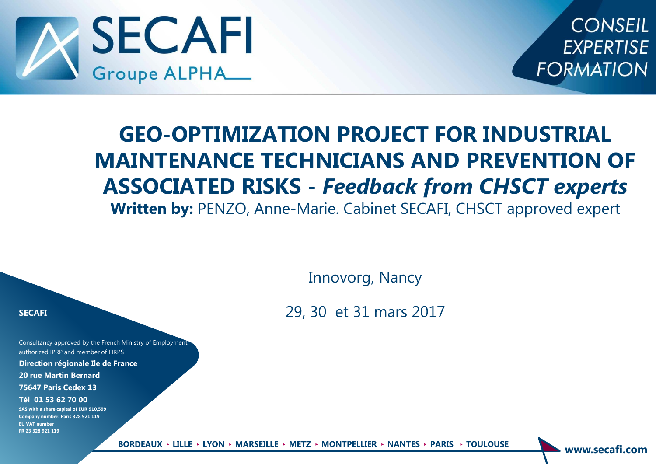

**CONSEIL EXPERTISE FORMATION** 

# **GEO-OPTIMIZATION PROJECT FOR INDUSTRIAL MAINTENANCE TECHNICIANS AND PREVENTION OF ASSOCIATED RISKS -** *Feedback from CHSCT experts*  **Written by:** PENZO, Anne-Marie. Cabinet SECAFI, CHSCT approved expert

Innovorg, Nancy

29, 30 et 31 mars 2017

#### **SECAFI**

Consultancy approved by the French Ministry of Employment, authorized IPRP and member of FIRPS

**Direction régionale Ile de France**

**20 rue Martin Bernard**

**75647 Paris Cedex 13**

**Tél 01 53 62 70 00**

**SAS with a share capital of EUR 910,599 Company number: Paris 328 921 119 EU VAT number FR 23 328 921 119**

**www.secafi.com BORDEAUX** ► **LILLE** ► **LYON** ► **MARSEILLE** ► **METZ** ► **MONTPELLIER** ► **NANTES** ► **PARIS** ► **TOULOUSE**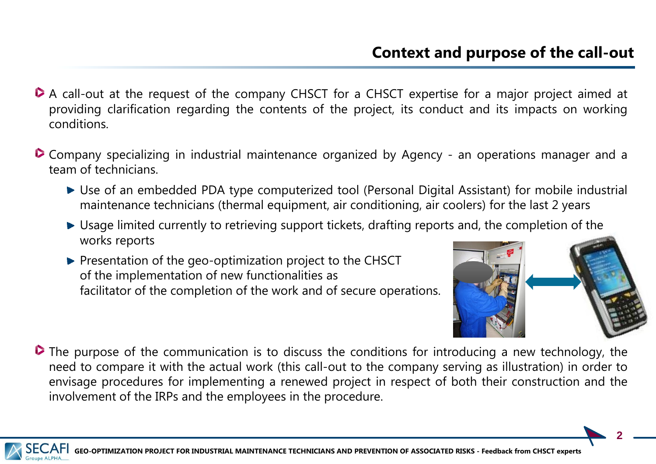- A call-out at the request of the company CHSCT for a CHSCT expertise for a major project aimed at providing clarification regarding the contents of the project, its conduct and its impacts on working conditions.
- **Company specializing in industrial maintenance organized by Agency an operations manager and a** team of technicians.
	- Use of an embedded PDA type computerized tool (Personal Digital Assistant) for mobile industrial maintenance technicians (thermal equipment, air conditioning, air coolers) for the last 2 years
	- ► Usage limited currently to retrieving support tickets, drafting reports and, the completion of the works reports
	- **Presentation of the geo-optimization project to the CHSCT** of the implementation of new functionalities as facilitator of the completion of the work and of secure operations.



**D** The purpose of the communication is to discuss the conditions for introducing a new technology, the need to compare it with the actual work (this call-out to the company serving as illustration) in order to envisage procedures for implementing a renewed project in respect of both their construction and the involvement of the IRPs and the employees in the procedure.

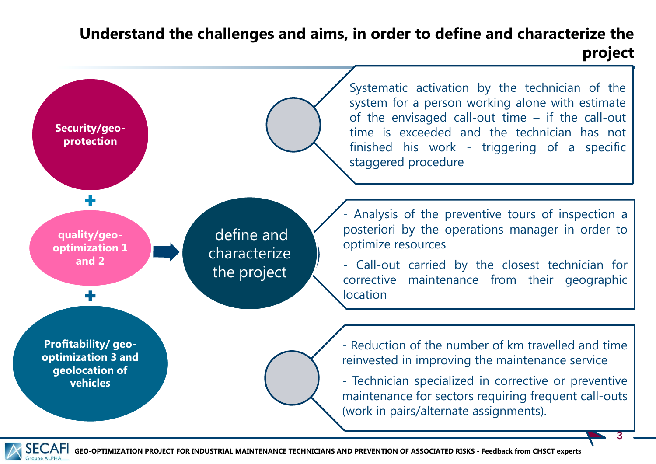# **Understand the challenges and aims, in order to define and characterize the project**



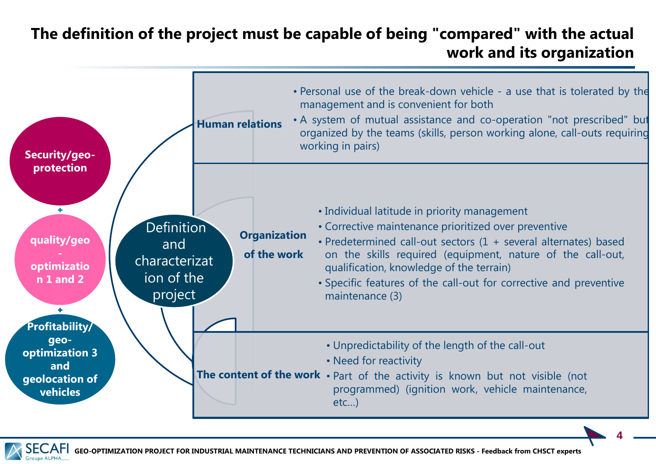# **The definition of the project must be capable of being "compared" with the actual work and its organization**



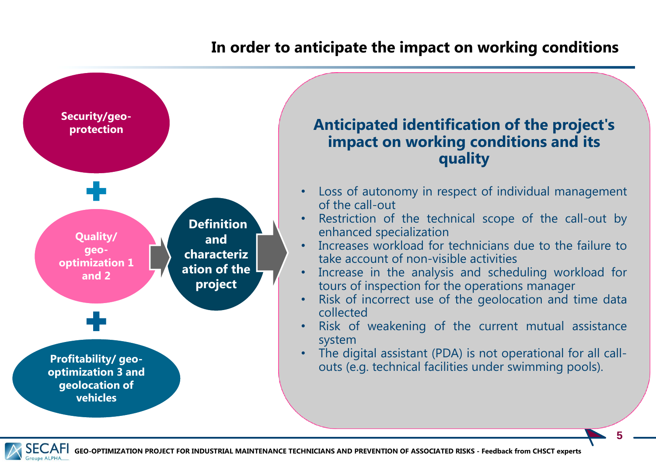### **In order to anticipate the impact on working conditions**



#### **Anticipated identification of the project's impact on working conditions and its quality**

- Loss of autonomy in respect of individual management of the call-out
- Restriction of the technical scope of the call-out by enhanced specialization
- Increases workload for technicians due to the failure to take account of non-visible activities
- Increase in the analysis and scheduling workload for tours of inspection for the operations manager
- Risk of incorrect use of the geolocation and time data collected
- Risk of weakening of the current mutual assistance system
- The digital assistant (PDA) is not operational for all callouts (e.g. technical facilities under swimming pools).

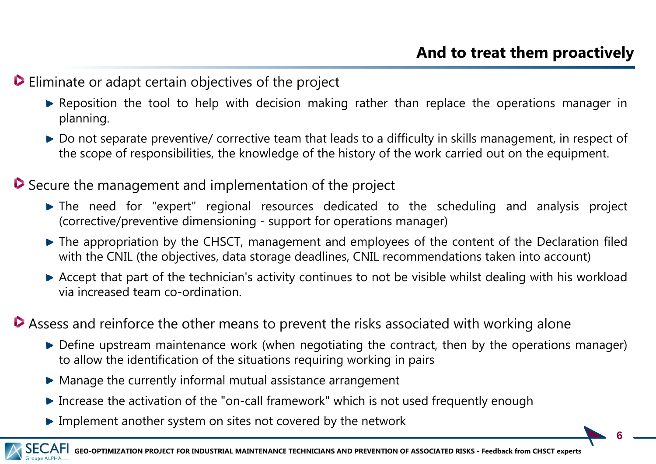#### Eliminate or adapt certain objectives of the project

- **Executed Feron** Reposition the tool to help with decision making rather than replace the operations manager in planning.
- ▶ Do not separate preventive/ corrective team that leads to a difficulty in skills management, in respect of the scope of responsibilities, the knowledge of the history of the work carried out on the equipment.

#### Secure the management and implementation of the project

- The need for "expert" regional resources dedicated to the scheduling and analysis project (corrective/preventive dimensioning - support for operations manager)
- $\blacktriangleright$  The appropriation by the CHSCT, management and employees of the content of the Declaration filed with the CNIL (the objectives, data storage deadlines, CNIL recommendations taken into account)
- Accept that part of the technician's activity continues to not be visible whilst dealing with his workload via increased team co-ordination.
- Assess and reinforce the other means to prevent the risks associated with working alone
	- Define upstream maintenance work (when negotiating the contract, then by the operations manager) to allow the identification of the situations requiring working in pairs
	- $\blacktriangleright$  Manage the currently informal mutual assistance arrangement
	- ▶ Increase the activation of the "on-call framework" which is not used frequently enough
	- Implement another system on sites not covered by the network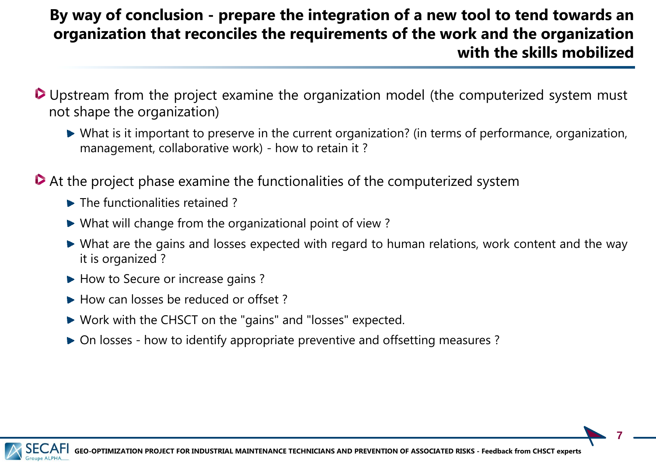### **By way of conclusion - prepare the integration of a new tool to tend towards an organization that reconciles the requirements of the work and the organization with the skills mobilized**

- Upstream from the project examine the organization model (the computerized system must not shape the organization)
	- What is it important to preserve in the current organization? (in terms of performance, organization, management, collaborative work) - how to retain it ?
- At the project phase examine the functionalities of the computerized system
	- The functionalities retained?
	- What will change from the organizational point of view ?
	- What are the gains and losses expected with regard to human relations, work content and the way it is organized ?
	- How to Secure or increase gains?
	- How can losses be reduced or offset?
	- Work with the CHSCT on the "gains" and "losses" expected.
	- On losses how to identify appropriate preventive and offsetting measures ?